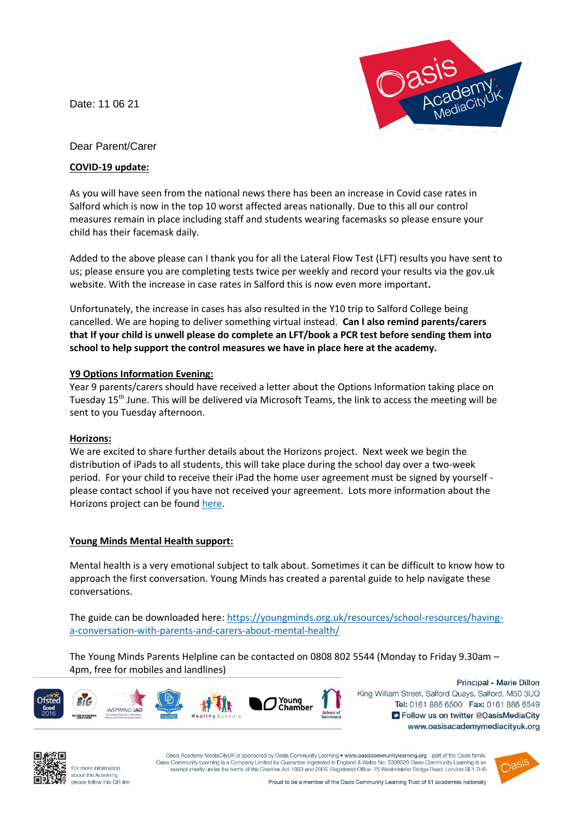Date: 11 06 21



# Dear Parent/Carer

## **COVID-19 update:**

As you will have seen from the national news there has been an increase in Covid case rates in Salford which is now in the top 10 worst affected areas nationally. Due to this all our control measures remain in place including staff and students wearing facemasks so please ensure your child has their facemask daily.

Added to the above please can I thank you for all the Lateral Flow Test (LFT) results you have sent to us; please ensure you are completing tests twice per weekly and record your results via the gov.uk website. With the increase in case rates in Salford this is now even more important**.**

Unfortunately, the increase in cases has also resulted in the Y10 trip to Salford College being cancelled. We are hoping to deliver something virtual instead. **Can I also remind parents/carers that If your child is unwell please do complete an LFT/book a PCR test before sending them into school to help support the control measures we have in place here at the academy.** 

### **Y9 Options Information Evening:**

Year 9 parents/carers should have received a letter about the Options Information taking place on Tuesday 15th June. This will be delivered via Microsoft Teams, the link to access the meeting will be sent to you Tuesday afternoon.

### **Horizons:**

We are excited to share further details about the Horizons project. Next week we begin the distribution of iPads to all students, this will take place during the school day over a two-week period. For your child to receive their iPad the home user agreement must be signed by yourself please contact school if you have not received your agreement. Lots more information about the Horizons project can be found [here.](https://www.oasisacademymediacityuk.org/about-us/oasis-horizons)

### **Young Minds Mental Health support:**

Mental health is a very emotional subject to talk about. Sometimes it can be difficult to know how to approach the first conversation. Young Minds has created a parental guide to help navigate these conversations.

The guide can be downloaded here[: https://youngminds.org.uk/resources/school-resources/having](https://youngminds.org.uk/resources/school-resources/having-a-conversation-with-parents-and-carers-about-mental-health/)[a-conversation-with-parents-and-carers-about-mental-health/](https://youngminds.org.uk/resources/school-resources/having-a-conversation-with-parents-and-carers-about-mental-health/)

The Young Minds Parents Helpline can be contacted on 0808 802 5544 (Monday to Friday 9.30am – 4pm, free for mobiles and landlines)



Principal - Marie Dillon King William Street, Salford Quays, Salford, M50 3UQ Tel: 0161 886 6500 Fax: 0161 886 6549 S Follow us on twitter @OasisMediaCity www.oasisacademymediacityuk.org



For more information about the Academy please follow this QR link

Oasis Academy MediaCityUK is sponsored by Oasis Community Learning . www.oasiscommunitylearning.org - part of the Oasis family Oasis Community Learning is a Company Limited by Guarantee registered in England & Wales No. 5398529 Oasis Community Learni exempt charity under the terms of the Charities Act 1993 and 2006. Registered Office: 75 Westminister Bridge Road, London SE1 7HS